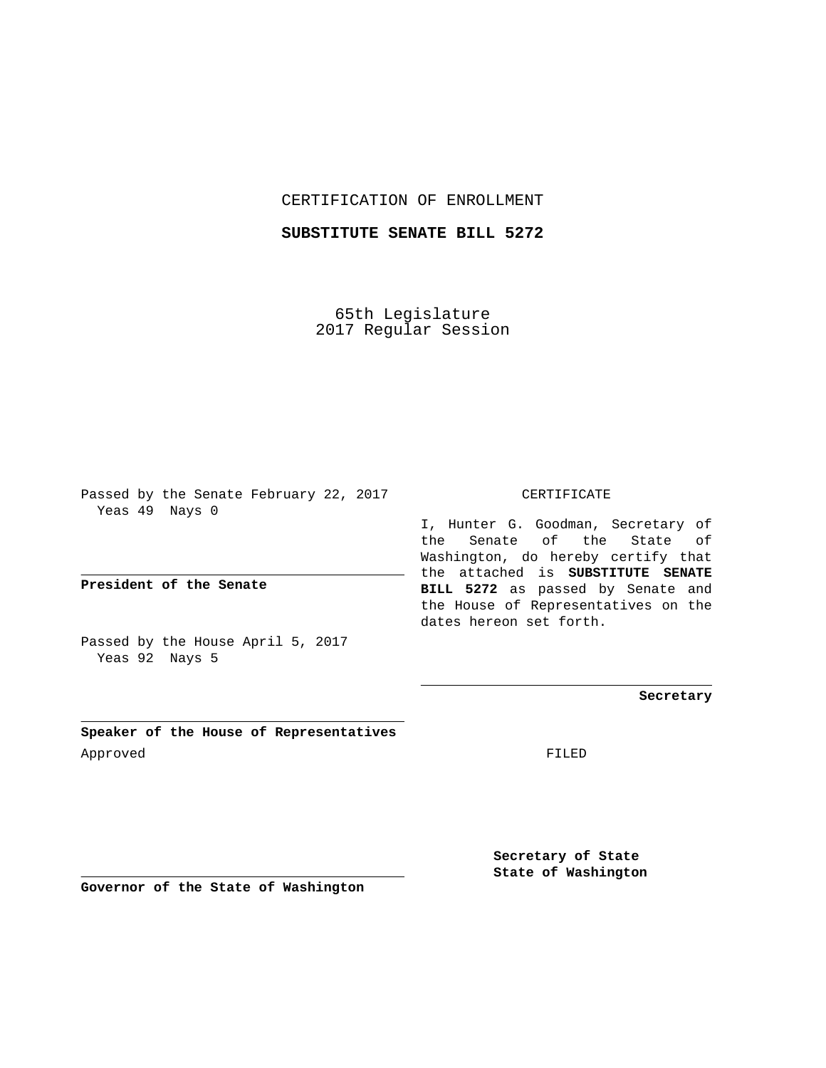CERTIFICATION OF ENROLLMENT

**SUBSTITUTE SENATE BILL 5272**

65th Legislature 2017 Regular Session

Passed by the Senate February 22, 2017 Yeas 49 Nays 0

**President of the Senate**

Passed by the House April 5, 2017 Yeas 92 Nays 5

**Speaker of the House of Representatives** Approved FILED

CERTIFICATE

I, Hunter G. Goodman, Secretary of the Senate of the State of Washington, do hereby certify that the attached is **SUBSTITUTE SENATE BILL 5272** as passed by Senate and the House of Representatives on the dates hereon set forth.

**Secretary**

**Secretary of State State of Washington**

**Governor of the State of Washington**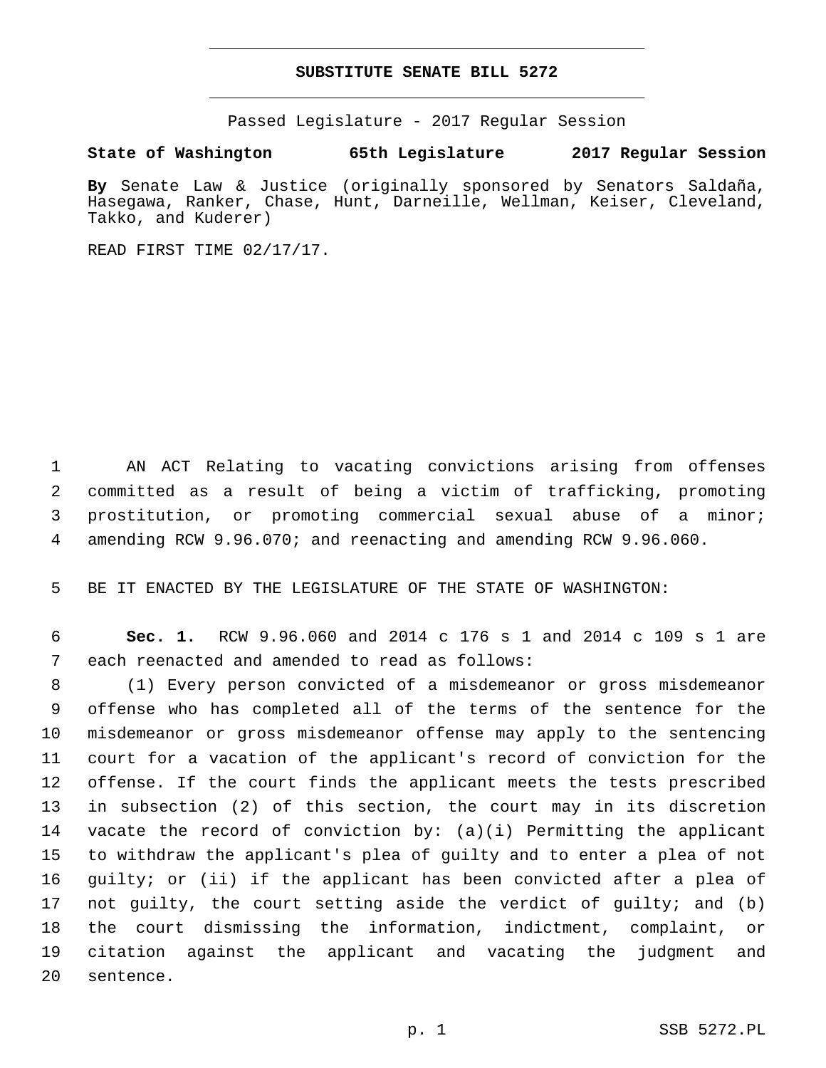## **SUBSTITUTE SENATE BILL 5272**

Passed Legislature - 2017 Regular Session

**State of Washington 65th Legislature 2017 Regular Session**

**By** Senate Law & Justice (originally sponsored by Senators Saldaña, Hasegawa, Ranker, Chase, Hunt, Darneille, Wellman, Keiser, Cleveland, Takko, and Kuderer)

READ FIRST TIME 02/17/17.

 AN ACT Relating to vacating convictions arising from offenses committed as a result of being a victim of trafficking, promoting prostitution, or promoting commercial sexual abuse of a minor; amending RCW 9.96.070; and reenacting and amending RCW 9.96.060.

BE IT ENACTED BY THE LEGISLATURE OF THE STATE OF WASHINGTON:

 **Sec. 1.** RCW 9.96.060 and 2014 c 176 s 1 and 2014 c 109 s 1 are 7 each reenacted and amended to read as follows:

 (1) Every person convicted of a misdemeanor or gross misdemeanor offense who has completed all of the terms of the sentence for the misdemeanor or gross misdemeanor offense may apply to the sentencing court for a vacation of the applicant's record of conviction for the offense. If the court finds the applicant meets the tests prescribed in subsection (2) of this section, the court may in its discretion 14 vacate the record of conviction by:  $(a)(i)$  Permitting the applicant to withdraw the applicant's plea of guilty and to enter a plea of not guilty; or (ii) if the applicant has been convicted after a plea of not guilty, the court setting aside the verdict of guilty; and (b) the court dismissing the information, indictment, complaint, or citation against the applicant and vacating the judgment and 20 sentence.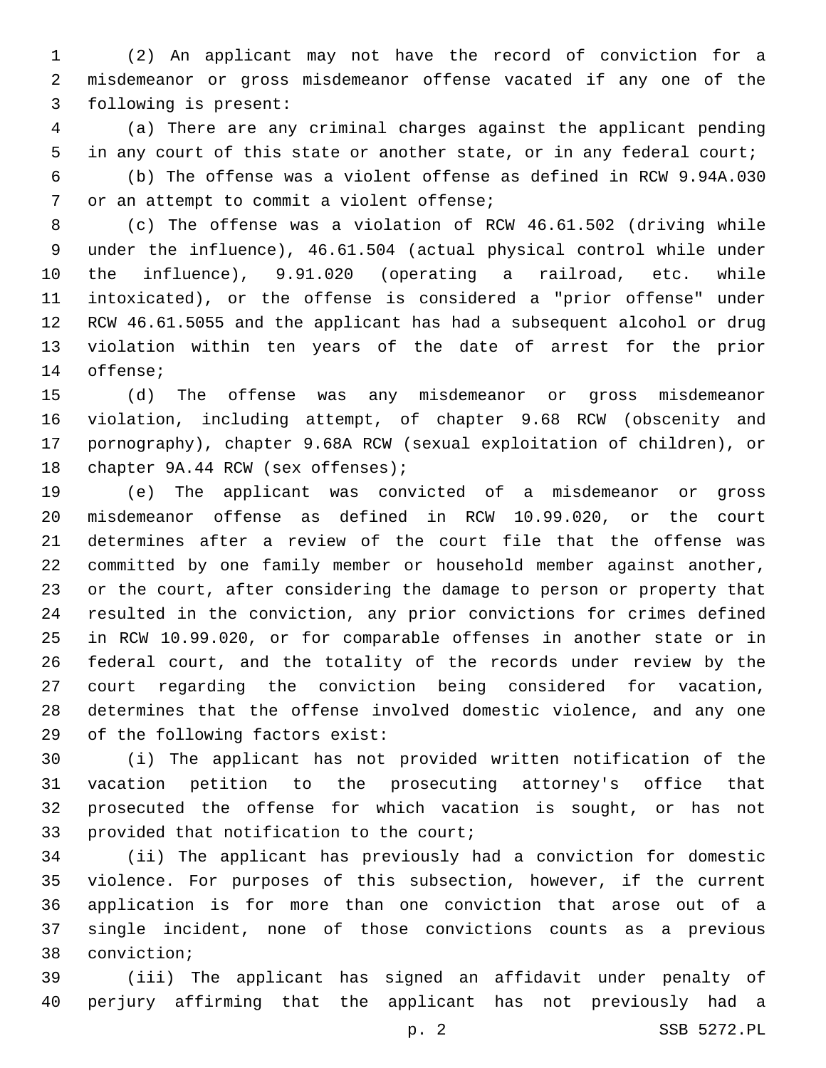(2) An applicant may not have the record of conviction for a misdemeanor or gross misdemeanor offense vacated if any one of the 3 following is present:

 (a) There are any criminal charges against the applicant pending in any court of this state or another state, or in any federal court; (b) The offense was a violent offense as defined in RCW 9.94A.030 7 or an attempt to commit a violent offense;

 (c) The offense was a violation of RCW 46.61.502 (driving while under the influence), 46.61.504 (actual physical control while under the influence), 9.91.020 (operating a railroad, etc. while intoxicated), or the offense is considered a "prior offense" under RCW 46.61.5055 and the applicant has had a subsequent alcohol or drug violation within ten years of the date of arrest for the prior 14 offense;

 (d) The offense was any misdemeanor or gross misdemeanor violation, including attempt, of chapter 9.68 RCW (obscenity and pornography), chapter 9.68A RCW (sexual exploitation of children), or 18 chapter 9A.44 RCW (sex offenses);

 (e) The applicant was convicted of a misdemeanor or gross misdemeanor offense as defined in RCW 10.99.020, or the court determines after a review of the court file that the offense was committed by one family member or household member against another, or the court, after considering the damage to person or property that resulted in the conviction, any prior convictions for crimes defined in RCW 10.99.020, or for comparable offenses in another state or in federal court, and the totality of the records under review by the court regarding the conviction being considered for vacation, determines that the offense involved domestic violence, and any one 29 of the following factors exist:

 (i) The applicant has not provided written notification of the vacation petition to the prosecuting attorney's office that prosecuted the offense for which vacation is sought, or has not 33 provided that notification to the court;

 (ii) The applicant has previously had a conviction for domestic violence. For purposes of this subsection, however, if the current application is for more than one conviction that arose out of a single incident, none of those convictions counts as a previous 38 conviction;

 (iii) The applicant has signed an affidavit under penalty of perjury affirming that the applicant has not previously had a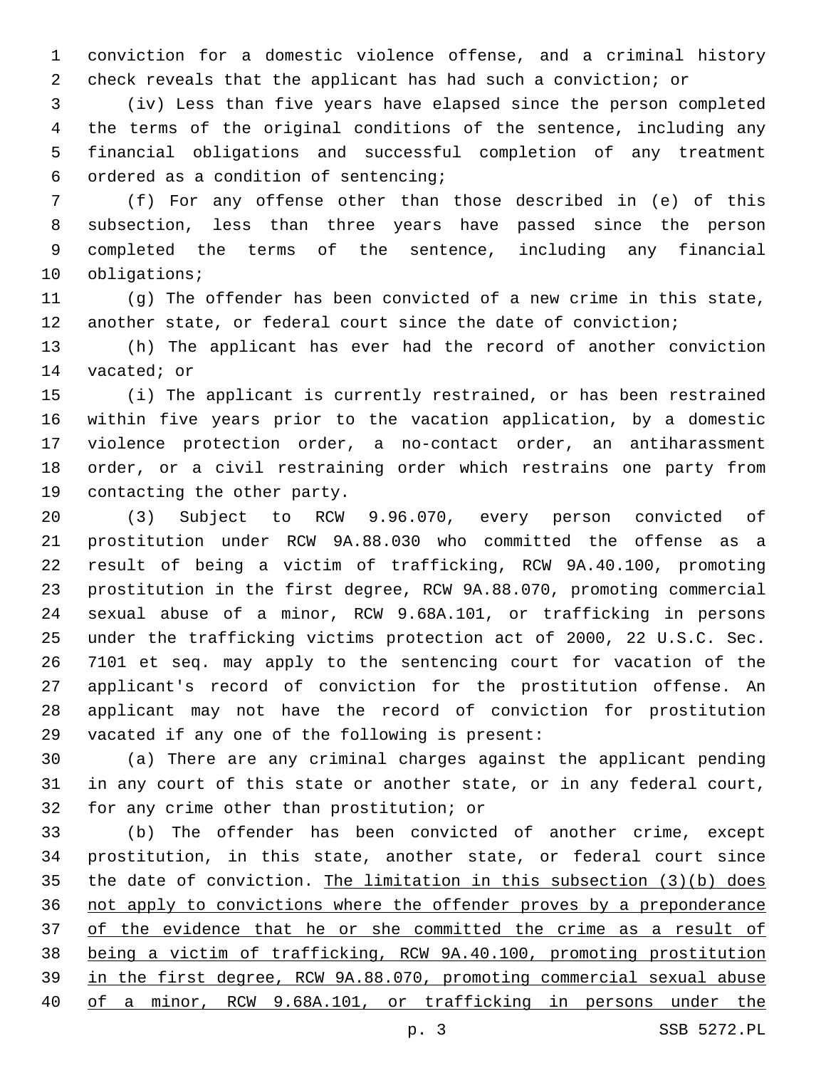conviction for a domestic violence offense, and a criminal history check reveals that the applicant has had such a conviction; or

 (iv) Less than five years have elapsed since the person completed the terms of the original conditions of the sentence, including any financial obligations and successful completion of any treatment ordered as a condition of sentencing;6

 (f) For any offense other than those described in (e) of this subsection, less than three years have passed since the person completed the terms of the sentence, including any financial 10 obligations;

 (g) The offender has been convicted of a new crime in this state, another state, or federal court since the date of conviction;

 (h) The applicant has ever had the record of another conviction 14 vacated; or

 (i) The applicant is currently restrained, or has been restrained within five years prior to the vacation application, by a domestic violence protection order, a no-contact order, an antiharassment order, or a civil restraining order which restrains one party from 19 contacting the other party.

 (3) Subject to RCW 9.96.070, every person convicted of prostitution under RCW 9A.88.030 who committed the offense as a result of being a victim of trafficking, RCW 9A.40.100, promoting prostitution in the first degree, RCW 9A.88.070, promoting commercial sexual abuse of a minor, RCW 9.68A.101, or trafficking in persons under the trafficking victims protection act of 2000, 22 U.S.C. Sec. 7101 et seq. may apply to the sentencing court for vacation of the applicant's record of conviction for the prostitution offense. An applicant may not have the record of conviction for prostitution 29 vacated if any one of the following is present:

 (a) There are any criminal charges against the applicant pending in any court of this state or another state, or in any federal court, 32 for any crime other than prostitution; or

 (b) The offender has been convicted of another crime, except prostitution, in this state, another state, or federal court since the date of conviction. The limitation in this subsection (3)(b) does not apply to convictions where the offender proves by a preponderance 37 of the evidence that he or she committed the crime as a result of being a victim of trafficking, RCW 9A.40.100, promoting prostitution in the first degree, RCW 9A.88.070, promoting commercial sexual abuse of a minor, RCW 9.68A.101, or trafficking in persons under the

p. 3 SSB 5272.PL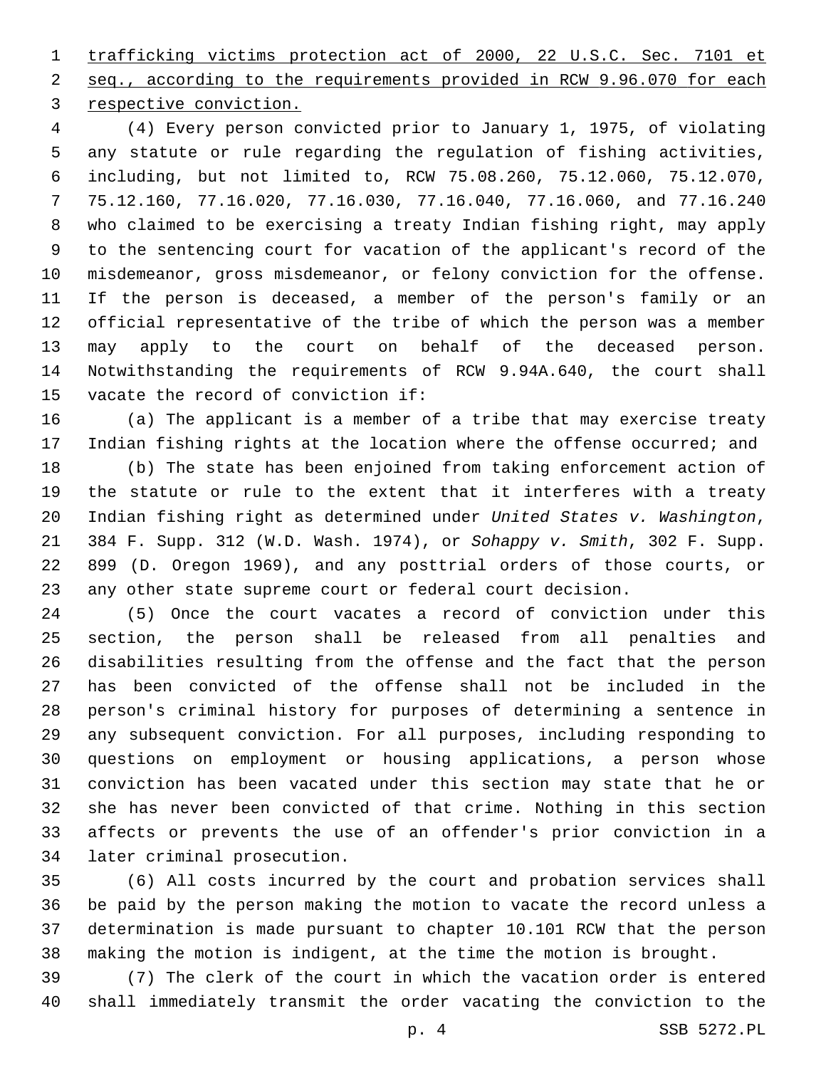trafficking victims protection act of 2000, 22 U.S.C. Sec. 7101 et seq., according to the requirements provided in RCW 9.96.070 for each 3 respective conviction.

 (4) Every person convicted prior to January 1, 1975, of violating any statute or rule regarding the regulation of fishing activities, including, but not limited to, RCW 75.08.260, 75.12.060, 75.12.070, 75.12.160, 77.16.020, 77.16.030, 77.16.040, 77.16.060, and 77.16.240 who claimed to be exercising a treaty Indian fishing right, may apply to the sentencing court for vacation of the applicant's record of the misdemeanor, gross misdemeanor, or felony conviction for the offense. If the person is deceased, a member of the person's family or an official representative of the tribe of which the person was a member may apply to the court on behalf of the deceased person. Notwithstanding the requirements of RCW 9.94A.640, the court shall 15 vacate the record of conviction if:

 (a) The applicant is a member of a tribe that may exercise treaty Indian fishing rights at the location where the offense occurred; and

 (b) The state has been enjoined from taking enforcement action of the statute or rule to the extent that it interferes with a treaty Indian fishing right as determined under *United States v. Washington*, 384 F. Supp. 312 (W.D. Wash. 1974), or *Sohappy v. Smith*, 302 F. Supp. 899 (D. Oregon 1969), and any posttrial orders of those courts, or any other state supreme court or federal court decision.

 (5) Once the court vacates a record of conviction under this section, the person shall be released from all penalties and disabilities resulting from the offense and the fact that the person has been convicted of the offense shall not be included in the person's criminal history for purposes of determining a sentence in any subsequent conviction. For all purposes, including responding to questions on employment or housing applications, a person whose conviction has been vacated under this section may state that he or she has never been convicted of that crime. Nothing in this section affects or prevents the use of an offender's prior conviction in a 34 later criminal prosecution.

 (6) All costs incurred by the court and probation services shall be paid by the person making the motion to vacate the record unless a determination is made pursuant to chapter 10.101 RCW that the person making the motion is indigent, at the time the motion is brought.

 (7) The clerk of the court in which the vacation order is entered shall immediately transmit the order vacating the conviction to the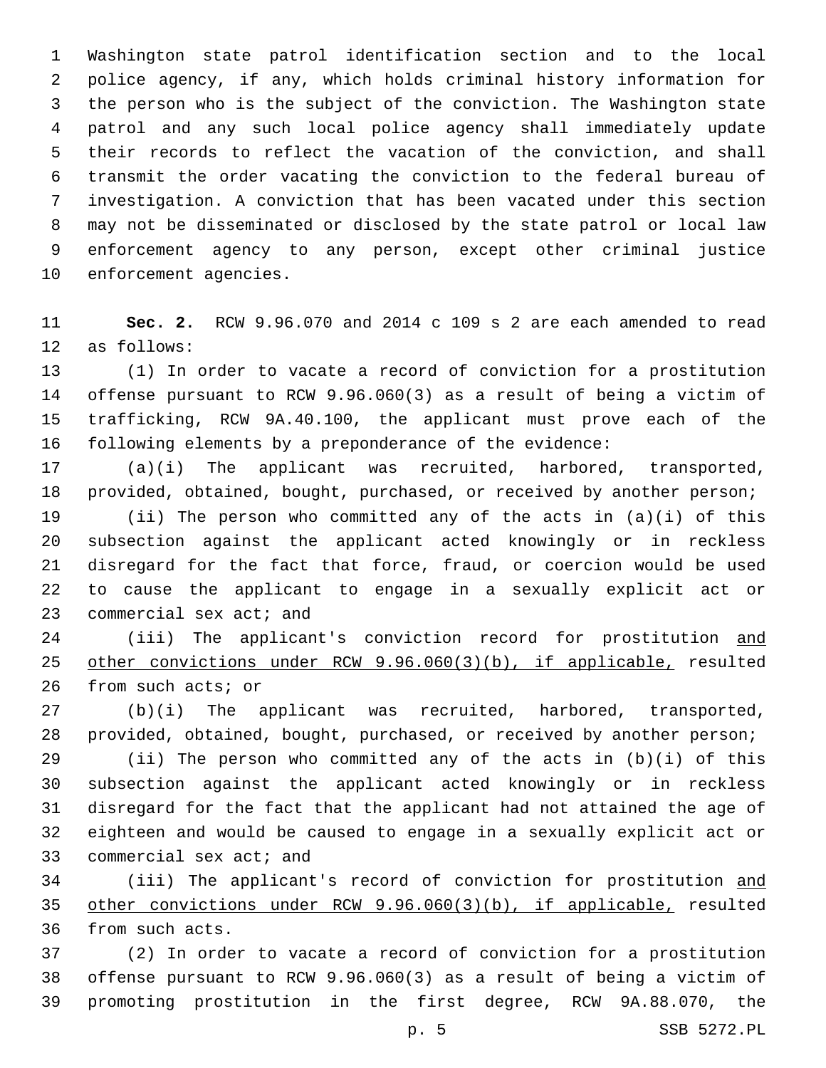Washington state patrol identification section and to the local police agency, if any, which holds criminal history information for the person who is the subject of the conviction. The Washington state patrol and any such local police agency shall immediately update their records to reflect the vacation of the conviction, and shall transmit the order vacating the conviction to the federal bureau of investigation. A conviction that has been vacated under this section may not be disseminated or disclosed by the state patrol or local law enforcement agency to any person, except other criminal justice 10 enforcement agencies.

 **Sec. 2.** RCW 9.96.070 and 2014 c 109 s 2 are each amended to read 12 as follows:

 (1) In order to vacate a record of conviction for a prostitution offense pursuant to RCW 9.96.060(3) as a result of being a victim of trafficking, RCW 9A.40.100, the applicant must prove each of the following elements by a preponderance of the evidence:

 (a)(i) The applicant was recruited, harbored, transported, provided, obtained, bought, purchased, or received by another person;

 (ii) The person who committed any of the acts in (a)(i) of this subsection against the applicant acted knowingly or in reckless disregard for the fact that force, fraud, or coercion would be used to cause the applicant to engage in a sexually explicit act or 23 commercial sex act; and

 (iii) The applicant's conviction record for prostitution and other convictions under RCW 9.96.060(3)(b), if applicable, resulted 26 from such acts; or

 (b)(i) The applicant was recruited, harbored, transported, provided, obtained, bought, purchased, or received by another person;

 (ii) The person who committed any of the acts in (b)(i) of this subsection against the applicant acted knowingly or in reckless disregard for the fact that the applicant had not attained the age of eighteen and would be caused to engage in a sexually explicit act or 33 commercial sex act; and

34 (iii) The applicant's record of conviction for prostitution and other convictions under RCW 9.96.060(3)(b), if applicable, resulted 36 from such acts.

 (2) In order to vacate a record of conviction for a prostitution offense pursuant to RCW 9.96.060(3) as a result of being a victim of promoting prostitution in the first degree, RCW 9A.88.070, the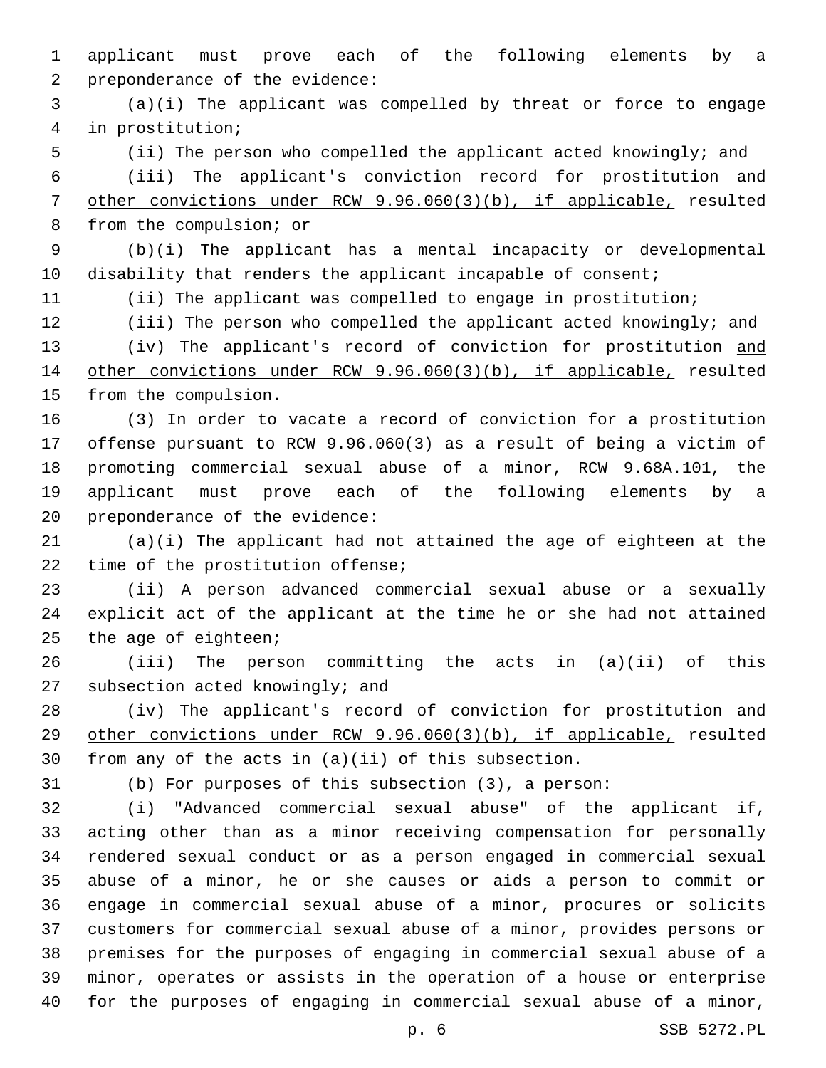applicant must prove each of the following elements by a 2 preponderance of the evidence:

 (a)(i) The applicant was compelled by threat or force to engage in prostitution;4

(ii) The person who compelled the applicant acted knowingly; and

 (iii) The applicant's conviction record for prostitution and other convictions under RCW 9.96.060(3)(b), if applicable, resulted 8 from the compulsion; or

 (b)(i) The applicant has a mental incapacity or developmental 10 disability that renders the applicant incapable of consent;

(ii) The applicant was compelled to engage in prostitution;

 (iii) The person who compelled the applicant acted knowingly; and 13 (iv) The applicant's record of conviction for prostitution and other convictions under RCW 9.96.060(3)(b), if applicable, resulted 15 from the compulsion.

 (3) In order to vacate a record of conviction for a prostitution offense pursuant to RCW 9.96.060(3) as a result of being a victim of promoting commercial sexual abuse of a minor, RCW 9.68A.101, the applicant must prove each of the following elements by a 20 preponderance of the evidence:

 (a)(i) The applicant had not attained the age of eighteen at the 22 time of the prostitution offense;

 (ii) A person advanced commercial sexual abuse or a sexually explicit act of the applicant at the time he or she had not attained the age of eighteen;

 (iii) The person committing the acts in (a)(ii) of this 27 subsection acted knowingly; and

28 (iv) The applicant's record of conviction for prostitution and other convictions under RCW 9.96.060(3)(b), if applicable, resulted from any of the acts in (a)(ii) of this subsection.

(b) For purposes of this subsection (3), a person:

 (i) "Advanced commercial sexual abuse" of the applicant if, acting other than as a minor receiving compensation for personally rendered sexual conduct or as a person engaged in commercial sexual abuse of a minor, he or she causes or aids a person to commit or engage in commercial sexual abuse of a minor, procures or solicits customers for commercial sexual abuse of a minor, provides persons or premises for the purposes of engaging in commercial sexual abuse of a minor, operates or assists in the operation of a house or enterprise for the purposes of engaging in commercial sexual abuse of a minor,